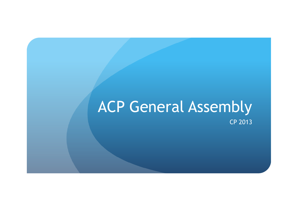### ACP General Assembly CP 2013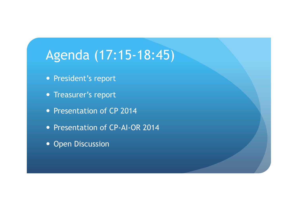## Agenda (17:15-18:45)

- President's report
- Treasurer's report
- Presentation of CP 2014
- Presentation of CP-AI-OR 2014
- Open Discussion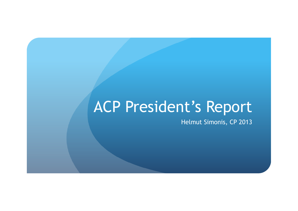# ACP President's Report

Helmut Simonis, CP 2013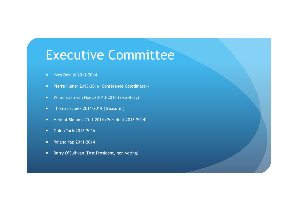### Executive Committee

- Yves Deville 2011-2014
- Pierre Flener 2013-2016 (Conference Coordinator)
- Willem-Jan van Hoeve 2013-2016 (Secretary)
- Thomas Schiex 2011-2014 (Treasurer)
- Helmut Simonis 2011-2014 (President 2013-2014)
- **•** Guido Tack 2013-2016
- Roland Yap 2011-2014
- Barry O'Sullivan (Past President, non-voting)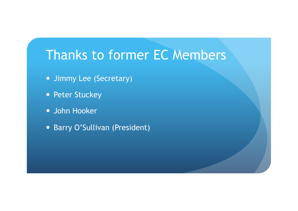## Thanks to former EC Members

- Jimmy Lee (Secretary)
- Peter Stuckey
- John Hooker
- Barry O'Sullivan (President)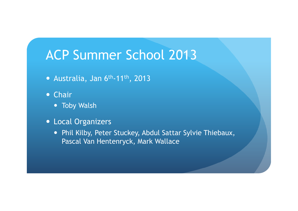### ACP Summer School 2013

- Australia, Jan 6th-11th, 2013
- Chair
	- Toby Walsh
- Local Organizers
	- Phil Kilby, Peter Stuckey, Abdul Sattar Sylvie Thiebaux, Pascal Van Hentenryck, Mark Wallace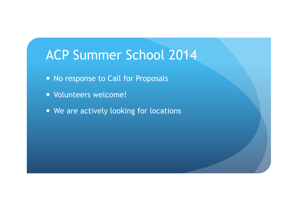### ACP Summer School 2014

- No response to Call for Proposals
- Volunteers welcome!
- We are actively looking for locations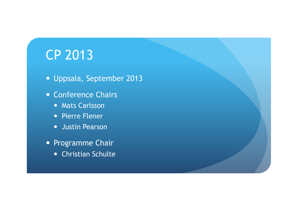## CP 2013

- Uppsala, September 2013
- Conference Chairs
	- **Mats Carlsson**
	- Pierre Flener
	- **•** Justin Pearson
- Programme Chair
	- Christian Schulte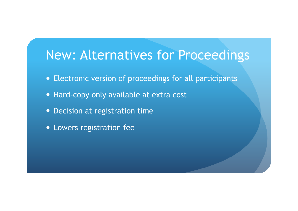#### New: Alternatives for Proceedings

- Electronic version of proceedings for all participants
- Hard-copy only available at extra cost
- Decision at registration time
- Lowers registration fee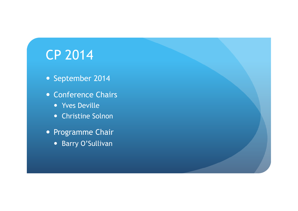## CP 2014

- September 2014
- Conference Chairs
	- **v** Yves Deville
	- Christine Solnon
- Programme Chair
	- Barry O'Sullivan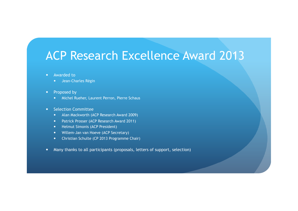#### ACP Research Excellence Award 2013

- Awarded to
	- **•** Jean-Charles Régin
- Proposed by
	- Michel Rueher, Laurent Perron, Pierre Schaus
- Selection Committee
	- Alan Mackworth (ACP Research Award 2009)
	- Patrick Prosser (ACP Research Award 2011)
	- Helmut Simonis (ACP President)
	- Willem-Jan van Hoeve (ACP Secretary)
	- Christian Schulte (CP 2013 Programme Chair)
- Many thanks to all participants (proposals, letters of support, selection)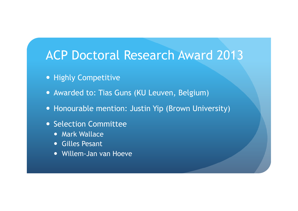#### ACP Doctoral Research Award 2013

- Highly Competitive
- Awarded to: Tias Guns (KU Leuven, Belgium)
- Honourable mention: Justin Yip (Brown University)
- Selection Committee
	- **Mark Wallace**
	- Gilles Pesant
	- Willem-Jan van Hoeve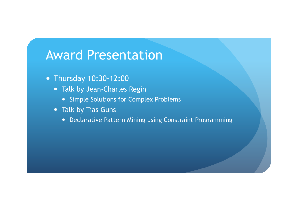### Award Presentation

- Thursday 10:30-12:00
	- Talk by Jean-Charles Regin
		- Simple Solutions for Complex Problems
	- Talk by Tias Guns
		- Declarative Pattern Mining using Constraint Programming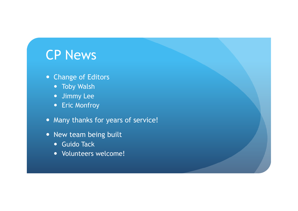### CP News

- Change of Editors
	- **•** Toby Walsh
	- Jimmy Lee
	- Eric Monfroy
- Many thanks for years of service!
- New team being built
	- **Guido Tack**
	- Volunteers welcome!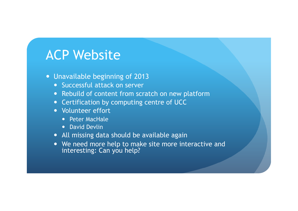### ACP Website

- Unavailable beginning of 2013
	- Successful attack on server
	- Rebuild of content from scratch on new platform
	- Certification by computing centre of UCC
	- Volunteer effort
		- Peter MacHale
		- David Devlin
	- All missing data should be available again
	- We need more help to make site more interactive and interesting: Can you help?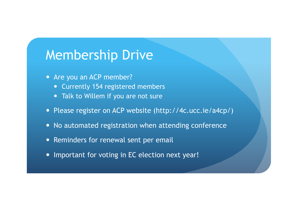#### Membership Drive

- Are you an ACP member?
	- Currently 154 registered members
	- Talk to Willem if you are not sure
- Please register on ACP website (http://4c.ucc.ie/a4cp/)
- No automated registration when attending conference
- Reminders for renewal sent per email
- Important for voting in EC election next year!